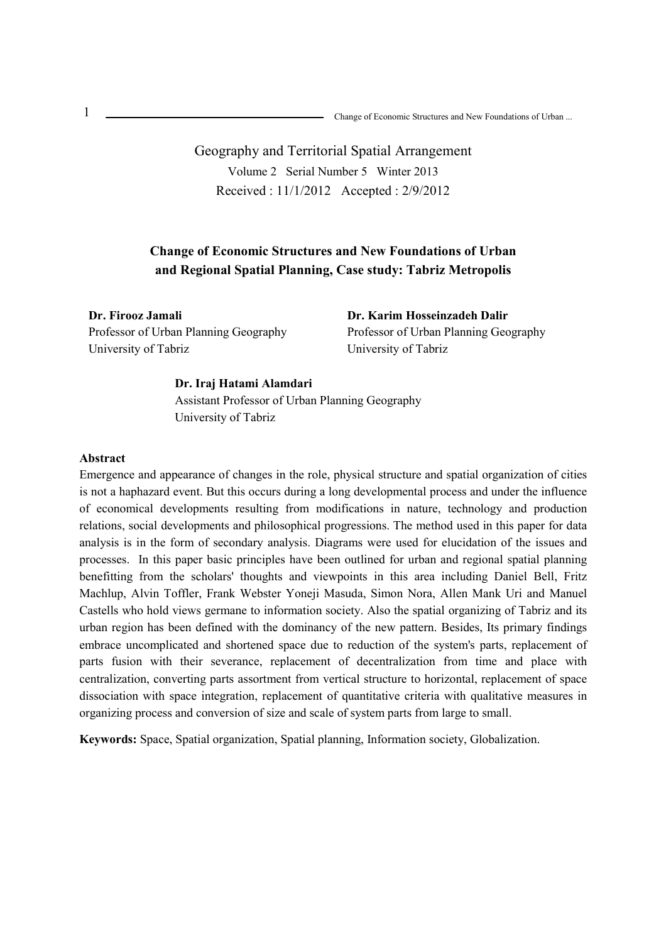# Geography and Territorial Spatial Arrangement Volume 2 Serial Number 5 Winter 2013 Received : 11/1/2012 Accepted : 2/9/2012

## **Change of Economic Structures and New Foundations of Urban and Regional Spatial Planning, Case study: Tabriz Metropolis**

**Dr. Firooz Jamali**  Professor of Urban Planning Geography University of Tabriz

**Dr. Karim Hosseinzadeh Dalir** Professor of Urban Planning Geography University of Tabriz

#### **Dr. Iraj Hatami Alamdari**

Assistant Professor of Urban Planning Geography University of Tabriz

#### **Abstract**

Emergence and appearance of changes in the role, physical structure and spatial organization of cities is not a haphazard event. But this occurs during a long developmental process and under the influence of economical developments resulting from modifications in nature, technology and production relations, social developments and philosophical progressions. The method used in this paper for data analysis is in the form of secondary analysis. Diagrams were used for elucidation of the issues and processes. In this paper basic principles have been outlined for urban and regional spatial planning benefitting from the scholars' thoughts and viewpoints in this area including Daniel Bell, Fritz Machlup, Alvin Toffler, Frank Webster Yoneji Masuda, Simon Nora, Allen Mank Uri and Manuel Castells who hold views germane to information society. Also the spatial organizing of Tabriz and its urban region has been defined with the dominancy of the new pattern. Besides, Its primary findings embrace uncomplicated and shortened space due to reduction of the system's parts, replacement of parts fusion with their severance, replacement of decentralization from time and place with centralization, converting parts assortment from vertical structure to horizontal, replacement of space dissociation with space integration, replacement of quantitative criteria with qualitative measures in organizing process and conversion of size and scale of system parts from large to small.

**Keywords:** Space, Spatial organization, Spatial planning, Information society, Globalization.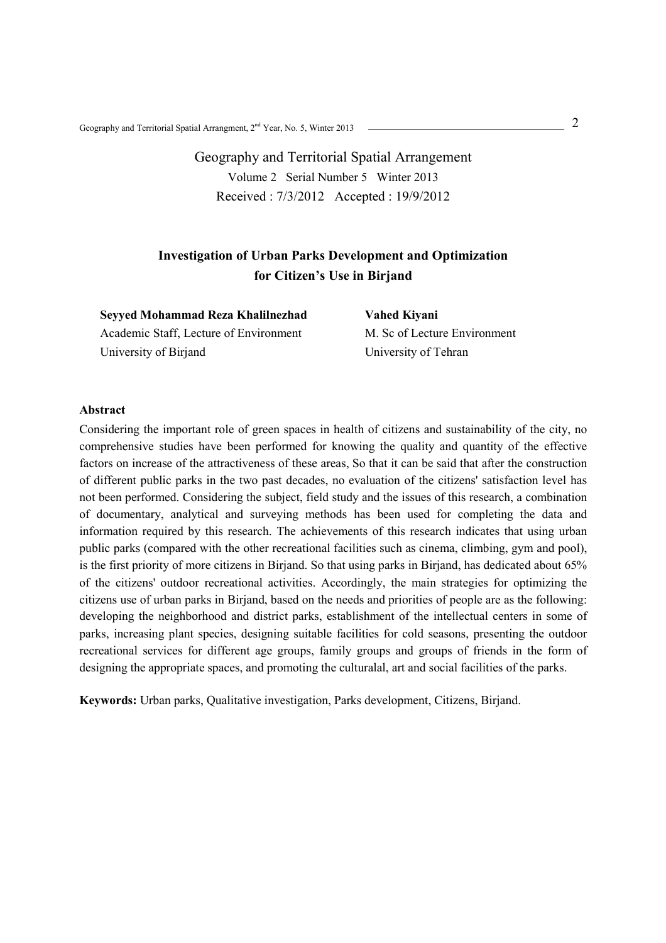Geography and Territorial Spatial Arrangment,  $2^{nd}$  Year, No. 5, Winter 2013

Geography and Territorial Spatial Arrangement Volume 2 Serial Number 5 Winter 2013 Received : 7/3/2012 Accepted : 19/9/2012

## **Investigation of Urban Parks Development and Optimization for Citizen's Use in Birjand**

**Seyyed Mohammad Reza Khalilnezhad**  Academic Staff, Lecture of Environment University of Birjand

**Vahed Kiyani**  M. Sc of Lecture Environment University of Tehran

#### **Abstract**

Considering the important role of green spaces in health of citizens and sustainability of the city, no comprehensive studies have been performed for knowing the quality and quantity of the effective factors on increase of the attractiveness of these areas, So that it can be said that after the construction of different public parks in the two past decades, no evaluation of the citizens' satisfaction level has not been performed. Considering the subject, field study and the issues of this research, a combination of documentary, analytical and surveying methods has been used for completing the data and information required by this research. The achievements of this research indicates that using urban public parks (compared with the other recreational facilities such as cinema, climbing, gym and pool), is the first priority of more citizens in Birjand. So that using parks in Birjand, has dedicated about 65% of the citizens' outdoor recreational activities. Accordingly, the main strategies for optimizing the citizens use of urban parks in Birjand, based on the needs and priorities of people are as the following: developing the neighborhood and district parks, establishment of the intellectual centers in some of parks, increasing plant species, designing suitable facilities for cold seasons, presenting the outdoor recreational services for different age groups, family groups and groups of friends in the form of designing the appropriate spaces, and promoting the culturalal, art and social facilities of the parks.

**Keywords:** Urban parks, Qualitative investigation, Parks development, Citizens, Birjand.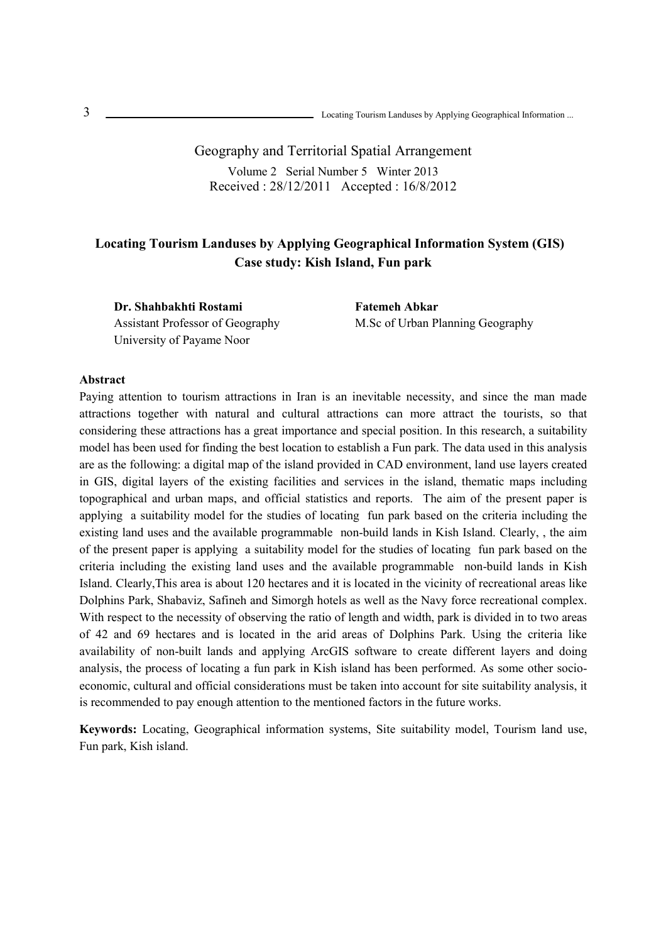Locating Tourism Landuses by Applying Geographical Information ...

Geography and Territorial Spatial Arrangement Volume 2 Serial Number 5 Winter 2013 Received : 28/12/2011 Accepted : 16/8/2012

## **Locating Tourism Landuses by Applying Geographical Information System (GIS) Case study: Kish Island, Fun park**

**Dr. Shahbakhti Rostami**  Assistant Professor of Geography University of Payame Noor

**Fatemeh Abkar**  M.Sc of Urban Planning Geography

#### **Abstract**

Paying attention to tourism attractions in Iran is an inevitable necessity, and since the man made attractions together with natural and cultural attractions can more attract the tourists, so that considering these attractions has a great importance and special position. In this research, a suitability model has been used for finding the best location to establish a Fun park. The data used in this analysis are as the following: a digital map of the island provided in CAD environment, land use layers created in GIS, digital layers of the existing facilities and services in the island, thematic maps including topographical and urban maps, and official statistics and reports. The aim of the present paper is applying a suitability model for the studies of locating fun park based on the criteria including the existing land uses and the available programmable non-build lands in Kish Island. Clearly, , the aim of the present paper is applying a suitability model for the studies of locating fun park based on the criteria including the existing land uses and the available programmable non-build lands in Kish Island. Clearly,This area is about 120 hectares and it is located in the vicinity of recreational areas like Dolphins Park, Shabaviz, Safineh and Simorgh hotels as well as the Navy force recreational complex. With respect to the necessity of observing the ratio of length and width, park is divided in to two areas of 42 and 69 hectares and is located in the arid areas of Dolphins Park. Using the criteria like availability of non-built lands and applying ArcGIS software to create different layers and doing analysis, the process of locating a fun park in Kish island has been performed. As some other socioeconomic, cultural and official considerations must be taken into account for site suitability analysis, it is recommended to pay enough attention to the mentioned factors in the future works.

**Keywords:** Locating, Geographical information systems, Site suitability model, Tourism land use, Fun park, Kish island.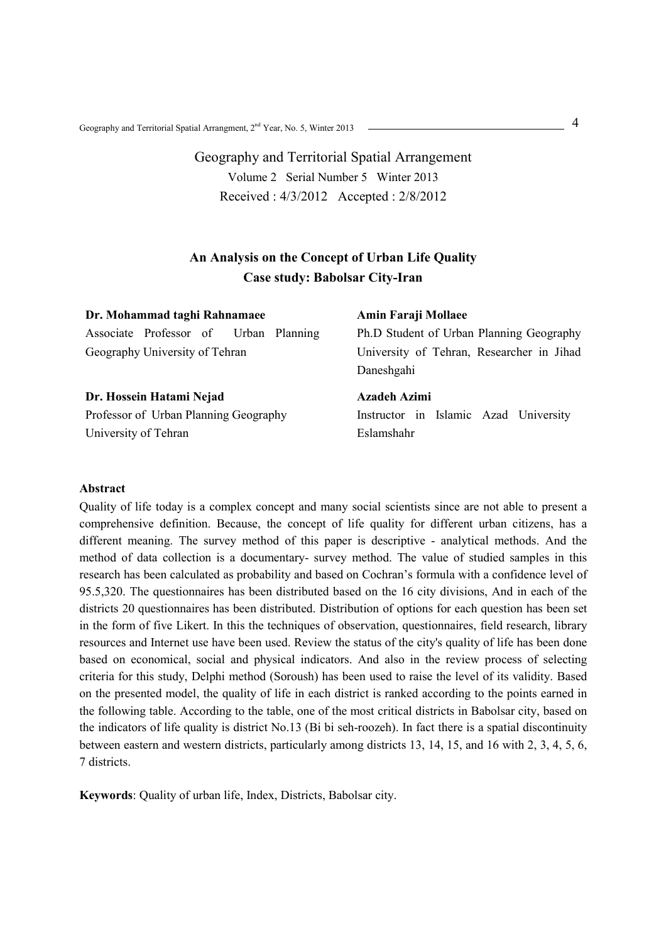4 Geography and Territorial Spatial Arrangment, 2nd Year, No. 5, Winter 2013

Geography and Territorial Spatial Arrangement Volume 2 Serial Number 5 Winter 2013 Received : 4/3/2012 Accepted : 2/8/2012

## **An Analysis on the Concept of Urban Life Quality Case study: Babolsar City-Iran**

| Dr. Mohammad taghi Rahnamaee                                            | Amin Faraji Mollaee                                                                                 |
|-------------------------------------------------------------------------|-----------------------------------------------------------------------------------------------------|
| Associate Professor of Urban Planning<br>Geography University of Tehran | Ph.D Student of Urban Planning Geography<br>University of Tehran, Researcher in Jihad<br>Daneshgahi |
| Dr. Hossein Hatami Nejad                                                | Azadeh Azimi                                                                                        |
| Professor of Urban Planning Geography                                   | Instructor in Islamic Azad University                                                               |
| University of Tehran                                                    | Eslamshahr                                                                                          |

#### **Abstract**

Quality of life today is a complex concept and many social scientists since are not able to present a comprehensive definition. Because, the concept of life quality for different urban citizens, has a different meaning. The survey method of this paper is descriptive - analytical methods. And the method of data collection is a documentary- survey method. The value of studied samples in this research has been calculated as probability and based on Cochran's formula with a confidence level of 95.5,320. The questionnaires has been distributed based on the 16 city divisions, And in each of the districts 20 questionnaires has been distributed. Distribution of options for each question has been set in the form of five Likert. In this the techniques of observation, questionnaires, field research, library resources and Internet use have been used. Review the status of the city's quality of life has been done based on economical, social and physical indicators. And also in the review process of selecting criteria for this study, Delphi method (Soroush) has been used to raise the level of its validity. Based on the presented model, the quality of life in each district is ranked according to the points earned in the following table. According to the table, one of the most critical districts in Babolsar city, based on the indicators of life quality is district No.13 (Bi bi seh-roozeh). In fact there is a spatial discontinuity between eastern and western districts, particularly among districts 13, 14, 15, and 16 with 2, 3, 4, 5, 6, 7 districts.

**Keywords**: Quality of urban life, Index, Districts, Babolsar city.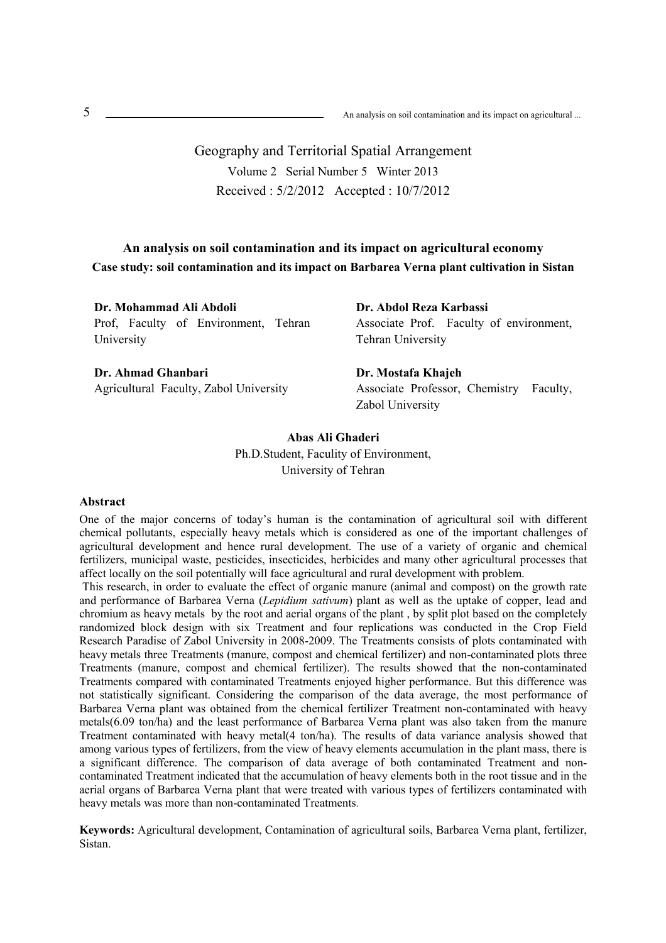Geography and Territorial Spatial Arrangement Volume 2 Serial Number 5 Winter 2013 Received : 5/2/2012 Accepted : 10/7/2012

### **An analysis on soil contamination and its impact on agricultural economy Case study: soil contamination and its impact on Barbarea Verna plant cultivation in Sistan**

**Dr. Mohammad Ali Abdoli**  Prof, Faculty of Environment, Tehran University

**Dr. Ahmad Ghanbari**  Agricultural Faculty, Zabol University **Dr. Abdol Reza Karbassi**  Associate Prof. Faculty of environment, Tehran University

**Dr. Mostafa Khajeh**  Associate Professor, Chemistry Faculty, Zabol University

**Abas Ali Ghaderi** Ph.D.Student, Faculity of Environment, University of Tehran

#### **Abstract**

One of the major concerns of today's human is the contamination of agricultural soil with different chemical pollutants, especially heavy metals which is considered as one of the important challenges of agricultural development and hence rural development. The use of a variety of organic and chemical fertilizers, municipal waste, pesticides, insecticides, herbicides and many other agricultural processes that affect locally on the soil potentially will face agricultural and rural development with problem.

 This research, in order to evaluate the effect of organic manure (animal and compost) on the growth rate and performance of Barbarea Verna (*Lepidium sativum*) plant as well as the uptake of copper, lead and chromium as heavy metals by the root and aerial organs of the plant , by split plot based on the completely randomized block design with six Treatment and four replications was conducted in the Crop Field Research Paradise of Zabol University in 2008-2009. The Treatments consists of plots contaminated with heavy metals three Treatments (manure, compost and chemical fertilizer) and non-contaminated plots three Treatments (manure, compost and chemical fertilizer). The results showed that the non-contaminated Treatments compared with contaminated Treatments enjoyed higher performance. But this difference was not statistically significant. Considering the comparison of the data average, the most performance of Barbarea Verna plant was obtained from the chemical fertilizer Treatment non-contaminated with heavy metals(6.09 ton/ha) and the least performance of Barbarea Verna plant was also taken from the manure Treatment contaminated with heavy metal(4 ton/ha). The results of data variance analysis showed that among various types of fertilizers, from the view of heavy elements accumulation in the plant mass, there is a significant difference. The comparison of data average of both contaminated Treatment and noncontaminated Treatment indicated that the accumulation of heavy elements both in the root tissue and in the aerial organs of Barbarea Verna plant that were treated with various types of fertilizers contaminated with heavy metals was more than non-contaminated Treatments.

**Keywords:** Agricultural development, Contamination of agricultural soils, Barbarea Verna plant, fertilizer, Sistan.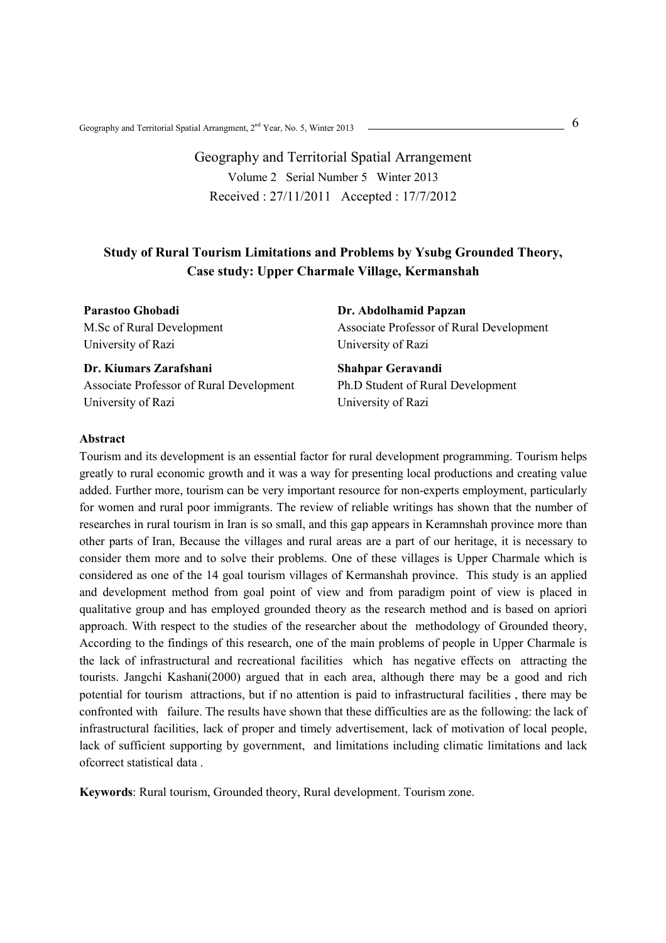Geography and Territorial Spatial Arrangment,  $2^{nd}$  Year, No. 5, Winter 2013

# Geography and Territorial Spatial Arrangement Volume 2 Serial Number 5 Winter 2013 Received : 27/11/2011 Accepted : 17/7/2012

## **Study of Rural Tourism Limitations and Problems by Ysubg Grounded Theory, Case study: Upper Charmale Village, Kermanshah**

**Parastoo Ghobadi**  M.Sc of Rural Development University of Razi

**Dr. Kiumars Zarafshani**  Associate Professor of Rural Development University of Razi

**Dr. Abdolhamid Papzan**  Associate Professor of Rural Development University of Razi

**Shahpar Geravandi**  Ph.D Student of Rural Development University of Razi

#### **Abstract**

Tourism and its development is an essential factor for rural development programming. Tourism helps greatly to rural economic growth and it was a way for presenting local productions and creating value added. Further more, tourism can be very important resource for non-experts employment, particularly for women and rural poor immigrants. The review of reliable writings has shown that the number of researches in rural tourism in Iran is so small, and this gap appears in Keramnshah province more than other parts of Iran, Because the villages and rural areas are a part of our heritage, it is necessary to consider them more and to solve their problems. One of these villages is Upper Charmale which is considered as one of the 14 goal tourism villages of Kermanshah province. This study is an applied and development method from goal point of view and from paradigm point of view is placed in qualitative group and has employed grounded theory as the research method and is based on apriori approach. With respect to the studies of the researcher about the methodology of Grounded theory, According to the findings of this research, one of the main problems of people in Upper Charmale is the lack of infrastructural and recreational facilities which has negative effects on attracting the tourists. Jangchi Kashani(2000) argued that in each area, although there may be a good and rich potential for tourism attractions, but if no attention is paid to infrastructural facilities , there may be confronted with failure. The results have shown that these difficulties are as the following: the lack of infrastructural facilities, lack of proper and timely advertisement, lack of motivation of local people, lack of sufficient supporting by government, and limitations including climatic limitations and lack ofcorrect statistical data .

**Keywords**: Rural tourism, Grounded theory, Rural development. Tourism zone.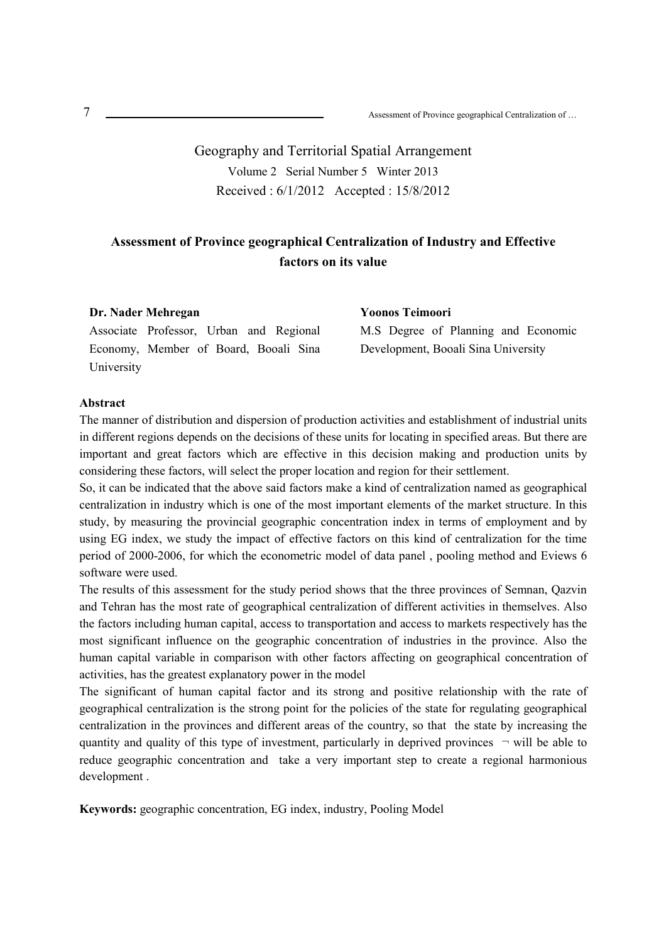Geography and Territorial Spatial Arrangement Volume 2 Serial Number 5 Winter 2013 Received : 6/1/2012 Accepted : 15/8/2012

## **Assessment of Province geographical Centralization of Industry and Effective factors on its value**

| Dr. Nader Mehregan                      | Yoonos Teimoori                     |
|-----------------------------------------|-------------------------------------|
| Associate Professor, Urban and Regional | M.S Degree of Planning and Economic |
| Economy, Member of Board, Booali Sina   | Development, Booali Sina University |
| University                              |                                     |

#### **Abstract**

The manner of distribution and dispersion of production activities and establishment of industrial units in different regions depends on the decisions of these units for locating in specified areas. But there are important and great factors which are effective in this decision making and production units by considering these factors, will select the proper location and region for their settlement.

So, it can be indicated that the above said factors make a kind of centralization named as geographical centralization in industry which is one of the most important elements of the market structure. In this study, by measuring the provincial geographic concentration index in terms of employment and by using EG index, we study the impact of effective factors on this kind of centralization for the time period of 2000-2006, for which the econometric model of data panel , pooling method and Eviews 6 software were used.

The results of this assessment for the study period shows that the three provinces of Semnan, Qazvin and Tehran has the most rate of geographical centralization of different activities in themselves. Also the factors including human capital, access to transportation and access to markets respectively has the most significant influence on the geographic concentration of industries in the province. Also the human capital variable in comparison with other factors affecting on geographical concentration of activities, has the greatest explanatory power in the model

The significant of human capital factor and its strong and positive relationship with the rate of geographical centralization is the strong point for the policies of the state for regulating geographical centralization in the provinces and different areas of the country, so that the state by increasing the quantity and quality of this type of investment, particularly in deprived provinces  $\neg$  will be able to reduce geographic concentration and take a very important step to create a regional harmonious development .

**Keywords:** geographic concentration, EG index, industry, Pooling Model